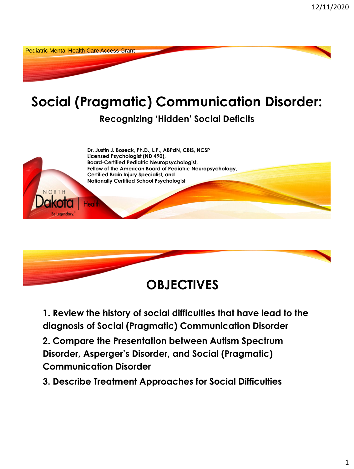Pediatric Mental Health Care Access Grant

### **Social (Pragmatic) Communication Disorder: Recognizing 'Hidden' Social Deficits**





**1. Review the history of social difficulties that have lead to the diagnosis of Social (Pragmatic) Communication Disorder** 

**2. Compare the Presentation between Autism Spectrum Disorder, Asperger's Disorder, and Social (Pragmatic) Communication Disorder**

**3. Describe Treatment Approaches for Social Difficulties**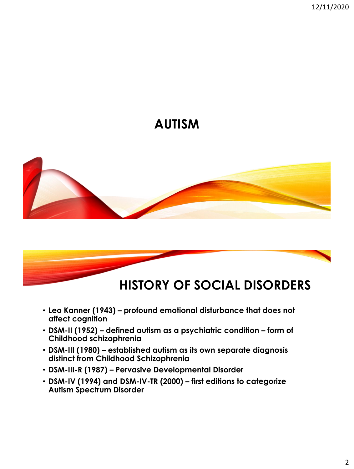## **AUTISM**





- **Leo Kanner (1943) – profound emotional disturbance that does not affect cognition**
- **DSM-II (1952) – defined autism as a psychiatric condition – form of Childhood schizophrenia**
- **DSM-III (1980) – established autism as its own separate diagnosis distinct from Childhood Schizophrenia**
- **DSM-III-R (1987) – Pervasive Developmental Disorder**
- **DSM-IV (1994) and DSM-IV-TR (2000) – first editions to categorize Autism Spectrum Disorder**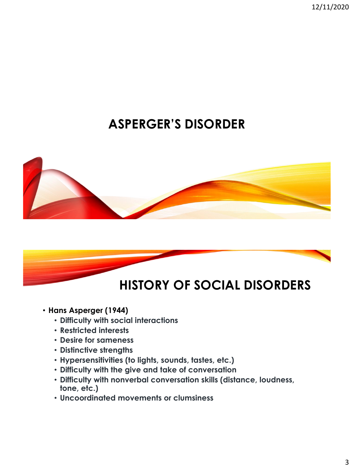12/11/2020

# **ASPERGER'S DISORDER**





- **Hans Asperger (1944)**
	- **Difficulty with social interactions**
	- **Restricted interests**
	- **Desire for sameness**
	- **Distinctive strengths**
	- **Hypersensitivities (to lights, sounds, tastes, etc.)**
	- **Difficulty with the give and take of conversation**
	- **Difficulty with nonverbal conversation skills (distance, loudness, tone, etc.)**
	- **Uncoordinated movements or clumsiness**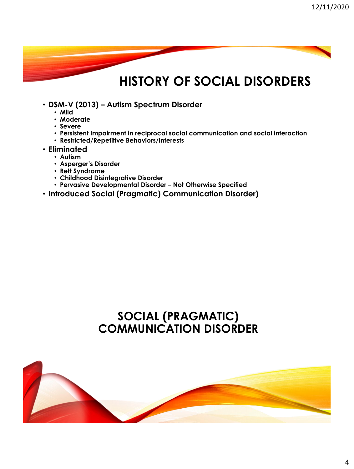# **HISTORY OF SOCIAL DISORDERS**

- **DSM-V (2013) – Autism Spectrum Disorder**
	- **Mild**
	- **Moderate**
	- **Severe**
	- **Persistent Impairment in reciprocal social communication and social interaction**
	- **Restricted/Repetitive Behaviors/Interests**
- **Eliminated** 
	- **Autism**
	- **Asperger's Disorder**
	- **Rett Syndrome**
	- **Childhood Disintegrative Disorder**
	- **Pervasive Developmental Disorder – Not Otherwise Specified**
- **Introduced Social (Pragmatic) Communication Disorder)**

### **SOCIAL (PRAGMATIC) COMMUNICATION DISORDER**

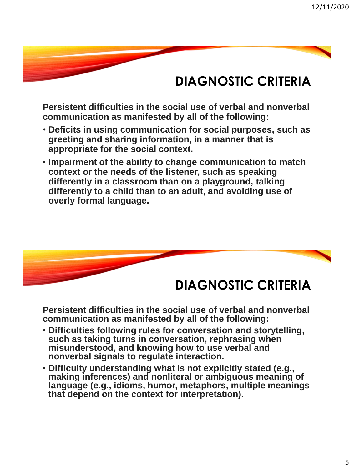## **DIAGNOSTIC CRITERIA**

**Persistent difficulties in the social use of verbal and nonverbal communication as manifested by all of the following:**

- **Deficits in using communication for social purposes, such as greeting and sharing information, in a manner that is appropriate for the social context.**
- **Impairment of the ability to change communication to match context or the needs of the listener, such as speaking differently in a classroom than on a playground, talking differently to a child than to an adult, and avoiding use of overly formal language.**



**Persistent difficulties in the social use of verbal and nonverbal communication as manifested by all of the following:**

- **Difficulties following rules for conversation and storytelling, such as taking turns in conversation, rephrasing when misunderstood, and knowing how to use verbal and nonverbal signals to regulate interaction.**
- **Difficulty understanding what is not explicitly stated (e.g., making inferences) and nonliteral or ambiguous meaning of language (e.g., idioms, humor, metaphors, multiple meanings that depend on the context for interpretation).**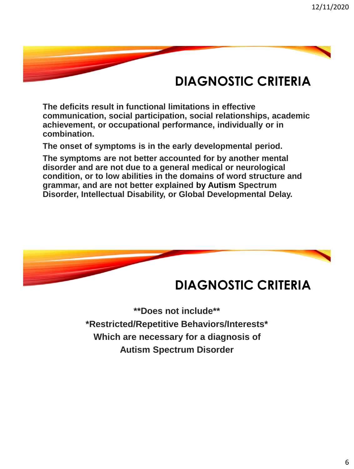## **DIAGNOSTIC CRITERIA**

**The deficits result in functional limitations in effective communication, social participation, social relationships, academic achievement, or occupational performance, individually or in combination.**

**The onset of symptoms is in the early developmental period.**

**The symptoms are not better accounted for by another mental disorder and are not due to a general medical or neurological condition, or to low abilities in the domains of word structure and grammar, and are not better explained by Autism Spectrum Disorder, Intellectual Disability, or Global Developmental Delay.**



### **DIAGNOSTIC CRITERIA**

**\*\*Does not include\*\* \*Restricted/Repetitive Behaviors/Interests\* Which are necessary for a diagnosis of Autism Spectrum Disorder**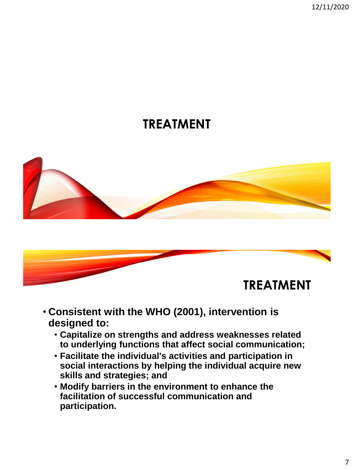12/11/2020

### **TREATMENT**





- **Consistent with the WHO (2001), intervention is designed to:**
	- **Capitalize on strengths and address weaknesses related to underlying functions that affect social communication;**
	- **Facilitate the individual's activities and participation in social interactions by helping the individual acquire new skills and strategies; and**
	- **Modify barriers in the environment to enhance the facilitation of successful communication and participation.**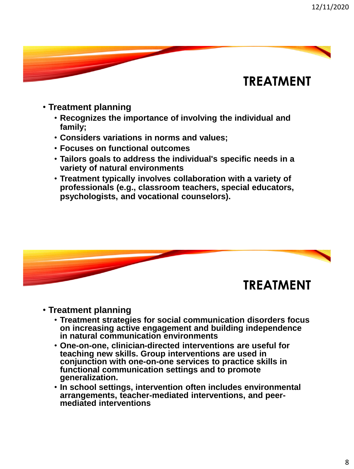

- **Treatment planning**
	- **Recognizes the importance of involving the individual and family;**
	- **Considers variations in norms and values;**
	- **Focuses on functional outcomes**
	- **Tailors goals to address the individual's specific needs in a variety of natural environments**
	- **Treatment typically involves collaboration with a variety of professionals (e.g., classroom teachers, special educators, psychologists, and vocational counselors).**



#### • **Treatment planning**

- **Treatment strategies for social communication disorders focus on increasing active engagement and building independence in natural communication environments**
- **One-on-one, clinician-directed interventions are useful for teaching new skills. Group interventions are used in conjunction with one-on-one services to practice skills in functional communication settings and to promote generalization.**
- **In school settings, intervention often includes environmental arrangements, teacher-mediated interventions, and peermediated interventions**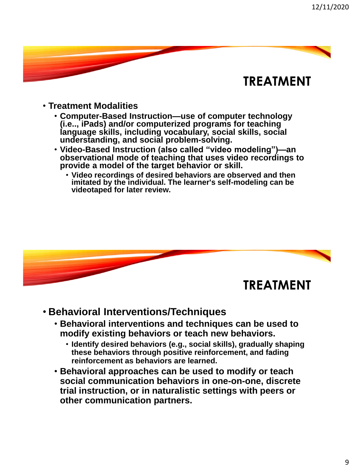- **Treatment Modalities**
	- **Computer-Based Instruction—use of computer technology (i.e.., iPads) and/or computerized programs for teaching language skills, including vocabulary, social skills, social understanding, and social problem-solving.**
	- **Video-Based Instruction (also called "video modeling")—an observational mode of teaching that uses video recordings to provide a model of the target behavior or skill.** 
		- **Video recordings of desired behaviors are observed and then imitated by the individual. The learner's self-modeling can be videotaped for later review.**



- **Behavioral Interventions/Techniques**
	- **Behavioral interventions and techniques can be used to modify existing behaviors or teach new behaviors.** 
		- **Identify desired behaviors (e.g., social skills), gradually shaping these behaviors through positive reinforcement, and fading reinforcement as behaviors are learned.**
	- **Behavioral approaches can be used to modify or teach social communication behaviors in one-on-one, discrete trial instruction, or in naturalistic settings with peers or other communication partners.**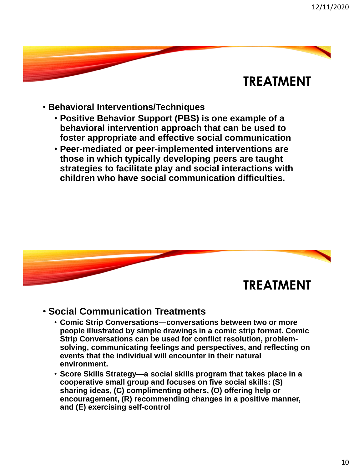- **Behavioral Interventions/Techniques**
	- **Positive Behavior Support (PBS) is one example of a behavioral intervention approach that can be used to foster appropriate and effective social communication**
	- **Peer-mediated or peer-implemented interventions are those in which typically developing peers are taught strategies to facilitate play and social interactions with children who have social communication difficulties.**



#### • **Social Communication Treatments**

- **Comic Strip Conversations—conversations between two or more people illustrated by simple drawings in a comic strip format. Comic Strip Conversations can be used for conflict resolution, problemsolving, communicating feelings and perspectives, and reflecting on events that the individual will encounter in their natural environment.**
- **Score Skills Strategy—a social skills program that takes place in a cooperative small group and focuses on five social skills: (S) sharing ideas, (C) complimenting others, (O) offering help or encouragement, (R) recommending changes in a positive manner, and (E) exercising self-control**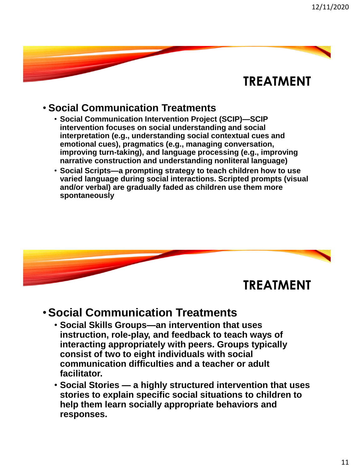### • **Social Communication Treatments**

- **Social Communication Intervention Project (SCIP)—SCIP intervention focuses on social understanding and social interpretation (e.g., understanding social contextual cues and emotional cues), pragmatics (e.g., managing conversation, improving turn-taking), and language processing (e.g., improving narrative construction and understanding nonliteral language)**
- **Social Scripts—a prompting strategy to teach children how to use varied language during social interactions. Scripted prompts (visual and/or verbal) are gradually faded as children use them more spontaneously**



### •**Social Communication Treatments**

- **Social Skills Groups—an intervention that uses instruction, role-play, and feedback to teach ways of interacting appropriately with peers. Groups typically consist of two to eight individuals with social communication difficulties and a teacher or adult facilitator.**
- **Social Stories — a highly structured intervention that uses stories to explain specific social situations to children to help them learn socially appropriate behaviors and responses.**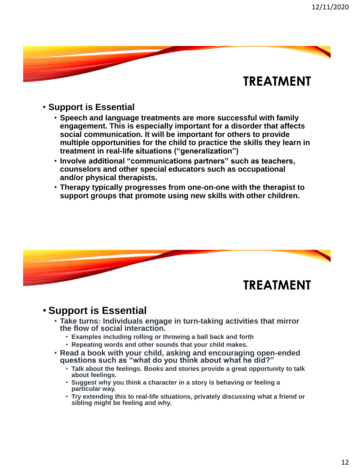#### • **Support is Essential**

- **Speech and language treatments are more successful with family engagement. This is especially important for a disorder that affects social communication. It will be important for others to provide multiple opportunities for the child to practice the skills they learn in treatment in real-life situations ("generalization")**
- **Involve additional "communications partners" such as teachers, counselors and other special educators such as occupational and/or physical therapists.**
- **Therapy typically progresses from one-on-one with the therapist to support groups that promote using new skills with other children.**



#### • **Support is Essential**

- **Take turns: Individuals engage in turn-taking activities that mirror the flow of social interaction.** 
	- **Examples including rolling or throwing a ball back and forth**
	- **Repeating words and other sounds that your child makes.**
- **Read a book with your child, asking and encouraging open-ended questions such as "what do you think about what he did?"**
	- **Talk about the feelings. Books and stories provide a great opportunity to talk about feelings.**
	- **Suggest why you think a character in a story is behaving or feeling a particular way.**
	- **Try extending this to real-life situations, privately discussing what a friend or sibling might be feeling and why.**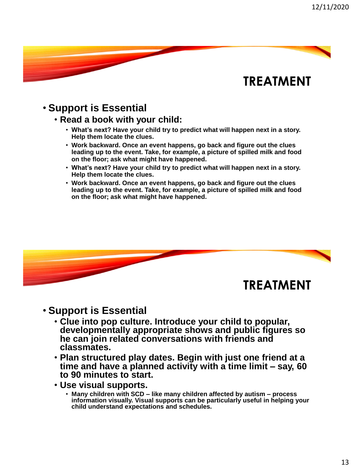#### • **Support is Essential**

- **Read a book with your child:**
	- **What's next? Have your child try to predict what will happen next in a story. Help them locate the clues.**
	- **Work backward. Once an event happens, go back and figure out the clues leading up to the event. Take, for example, a picture of spilled milk and food on the floor; ask what might have happened.**
	- **What's next? Have your child try to predict what will happen next in a story. Help them locate the clues.**
	- **Work backward. Once an event happens, go back and figure out the clues leading up to the event. Take, for example, a picture of spilled milk and food on the floor; ask what might have happened.**



#### • **Support is Essential**

- **Clue into pop culture. Introduce your child to popular, developmentally appropriate shows and public figures so he can join related conversations with friends and classmates.**
- **Plan structured play dates. Begin with just one friend at a time and have a planned activity with a time limit – say, 60 to 90 minutes to start.**
- **Use visual supports.**
	- **Many children with SCD – like many children affected by autism – process information visually. Visual supports can be particularly useful in helping your child understand expectations and schedules.**